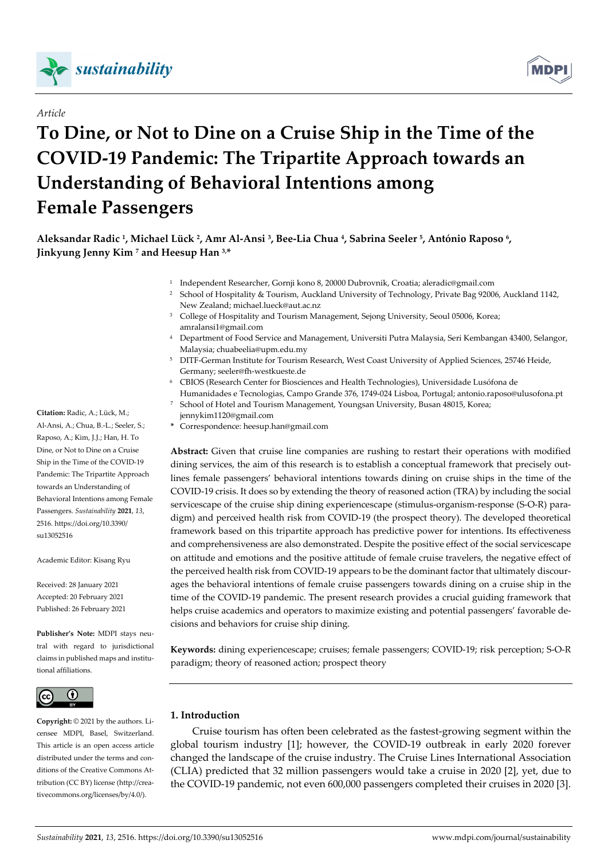

# *Article*

# **To Dine, or Not to Dine on a Cruise Ship in the Time of the COVID-19 Pandemic: The Tripartite Approach towards an Understanding of Behavioral Intentions among Female Passengers**

**Aleksandar Radic 1, Michael Lück 2, Amr Al-Ansi 3, Bee-Lia Chua 4, Sabrina Seeler 5, António Raposo 6, Jinkyung Jenny Kim 7 and Heesup Han 3,\*** 

- 1 Independent Researcher, Gornji kono 8, 20000 Dubrovnik, Croatia; aleradic@gmail.com
- <sup>2</sup> School of Hospitality & Tourism, Auckland University of Technology, Private Bag 92006, Auckland 1142, New Zealand; michael.lueck@aut.ac.nz
- <sup>3</sup> College of Hospitality and Tourism Management, Sejong University, Seoul 05006, Korea; amralansi1@gmail.com
- 4 Department of Food Service and Management, Universiti Putra Malaysia, Seri Kembangan 43400, Selangor, Malaysia; chuabeelia@upm.edu.my
- 5 DITF-German Institute for Tourism Research, West Coast University of Applied Sciences, 25746 Heide, Germany; seeler@fh-westkueste.de
- 6 CBIOS (Research Center for Biosciences and Health Technologies), Universidade Lusófona de
- Humanidades e Tecnologias, Campo Grande 376, 1749-024 Lisboa, Portugal; antonio.raposo@ulusofona.pt 7 School of Hotel and Tourism Management, Youngsan University, Busan 48015, Korea;
	- jennykim1120@gmail.com
- **\*** Correspondence: heesup.han@gmail.com

**Abstract:** Given that cruise line companies are rushing to restart their operations with modified dining services, the aim of this research is to establish a conceptual framework that precisely outlines female passengers' behavioral intentions towards dining on cruise ships in the time of the COVID-19 crisis. It does so by extending the theory of reasoned action (TRA) by including the social servicescape of the cruise ship dining experiencescape (stimulus-organism-response (S-O-R) paradigm) and perceived health risk from COVID-19 (the prospect theory). The developed theoretical framework based on this tripartite approach has predictive power for intentions. Its effectiveness and comprehensiveness are also demonstrated. Despite the positive effect of the social servicescape on attitude and emotions and the positive attitude of female cruise travelers, the negative effect of the perceived health risk from COVID-19 appears to be the dominant factor that ultimately discourages the behavioral intentions of female cruise passengers towards dining on a cruise ship in the time of the COVID-19 pandemic. The present research provides a crucial guiding framework that helps cruise academics and operators to maximize existing and potential passengers' favorable decisions and behaviors for cruise ship dining.

**Keywords:** dining experiencescape; cruises; female passengers; COVID-19; risk perception; S-O-R paradigm; theory of reasoned action; prospect theory



**Copyright:** © 2021 by the authors. Licensee MDPI, Basel, Switzerland. This article is an open access article distributed under the terms and conditions of the Creative Commons Attribution (CC BY) license (http://creativecommons.org/licenses/by/4.0/).

# **1. Introduction**

Cruise tourism has often been celebrated as the fastest-growing segment within the global tourism industry [1]; however, the COVID-19 outbreak in early 2020 forever changed the landscape of the cruise industry. The Cruise Lines International Association (CLIA) predicted that 32 million passengers would take a cruise in 2020 [2], yet, due to the COVID-19 pandemic, not even 600,000 passengers completed their cruises in 2020 [3].

**Citation:** Radic, A.; Lück, M.; Al-Ansi, A.; Chua, B.-L.; Seeler, S.; Raposo, A.; Kim, J.J.; Han, H. To Dine, or Not to Dine on a Cruise Ship in the Time of the COVID-19 Pandemic: The Tripartite Approach towards an Understanding of Behavioral Intentions among Female Passengers. *Sustainability* **2021**, *13*, 2516. https://doi.org/10.3390/ su13052516

Academic Editor: Kisang Ryu

Received: 28 January 2021 Accepted: 20 February 2021 Published: 26 February 2021

**Publisher's Note:** MDPI stays neutral with regard to jurisdictional claims in published maps and institutional affiliations.

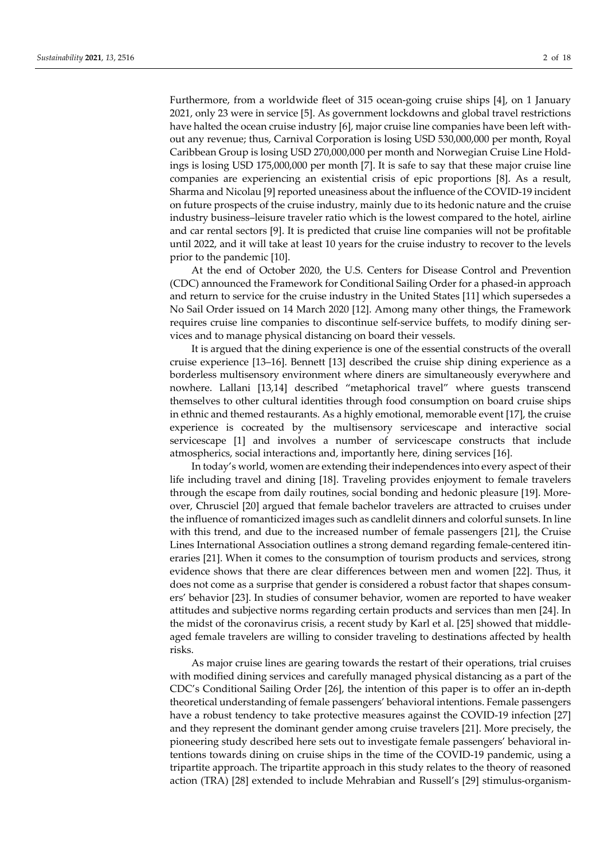Furthermore, from a worldwide fleet of 315 ocean-going cruise ships [4], on 1 January 2021, only 23 were in service [5]. As government lockdowns and global travel restrictions have halted the ocean cruise industry [6], major cruise line companies have been left without any revenue; thus, Carnival Corporation is losing USD 530,000,000 per month, Royal Caribbean Group is losing USD 270,000,000 per month and Norwegian Cruise Line Holdings is losing USD 175,000,000 per month [7]. It is safe to say that these major cruise line companies are experiencing an existential crisis of epic proportions [8]. As a result, Sharma and Nicolau [9] reported uneasiness about the influence of the COVID-19 incident on future prospects of the cruise industry, mainly due to its hedonic nature and the cruise industry business–leisure traveler ratio which is the lowest compared to the hotel, airline and car rental sectors [9]. It is predicted that cruise line companies will not be profitable until 2022, and it will take at least 10 years for the cruise industry to recover to the levels prior to the pandemic [10].

At the end of October 2020, the U.S. Centers for Disease Control and Prevention (CDC) announced the Framework for Conditional Sailing Order for a phased-in approach and return to service for the cruise industry in the United States [11] which supersedes a No Sail Order issued on 14 March 2020 [12]. Among many other things, the Framework requires cruise line companies to discontinue self-service buffets, to modify dining services and to manage physical distancing on board their vessels.

It is argued that the dining experience is one of the essential constructs of the overall cruise experience [13–16]. Bennett [13] described the cruise ship dining experience as a borderless multisensory environment where diners are simultaneously everywhere and nowhere. Lallani [13,14] described "metaphorical travel" where guests transcend themselves to other cultural identities through food consumption on board cruise ships in ethnic and themed restaurants. As a highly emotional, memorable event [17], the cruise experience is cocreated by the multisensory servicescape and interactive social servicescape [1] and involves a number of servicescape constructs that include atmospherics, social interactions and, importantly here, dining services [16].

In today's world, women are extending their independences into every aspect of their life including travel and dining [18]. Traveling provides enjoyment to female travelers through the escape from daily routines, social bonding and hedonic pleasure [19]. Moreover, Chrusciel [20] argued that female bachelor travelers are attracted to cruises under the influence of romanticized images such as candlelit dinners and colorful sunsets. In line with this trend, and due to the increased number of female passengers [21], the Cruise Lines International Association outlines a strong demand regarding female-centered itineraries [21]. When it comes to the consumption of tourism products and services, strong evidence shows that there are clear differences between men and women [22]. Thus, it does not come as a surprise that gender is considered a robust factor that shapes consumers' behavior [23]. In studies of consumer behavior, women are reported to have weaker attitudes and subjective norms regarding certain products and services than men [24]. In the midst of the coronavirus crisis, a recent study by Karl et al. [25] showed that middleaged female travelers are willing to consider traveling to destinations affected by health risks.

As major cruise lines are gearing towards the restart of their operations, trial cruises with modified dining services and carefully managed physical distancing as a part of the CDC's Conditional Sailing Order [26], the intention of this paper is to offer an in-depth theoretical understanding of female passengers' behavioral intentions. Female passengers have a robust tendency to take protective measures against the COVID-19 infection [27] and they represent the dominant gender among cruise travelers [21]. More precisely, the pioneering study described here sets out to investigate female passengers' behavioral intentions towards dining on cruise ships in the time of the COVID-19 pandemic, using a tripartite approach. The tripartite approach in this study relates to the theory of reasoned action (TRA) [28] extended to include Mehrabian and Russell's [29] stimulus-organism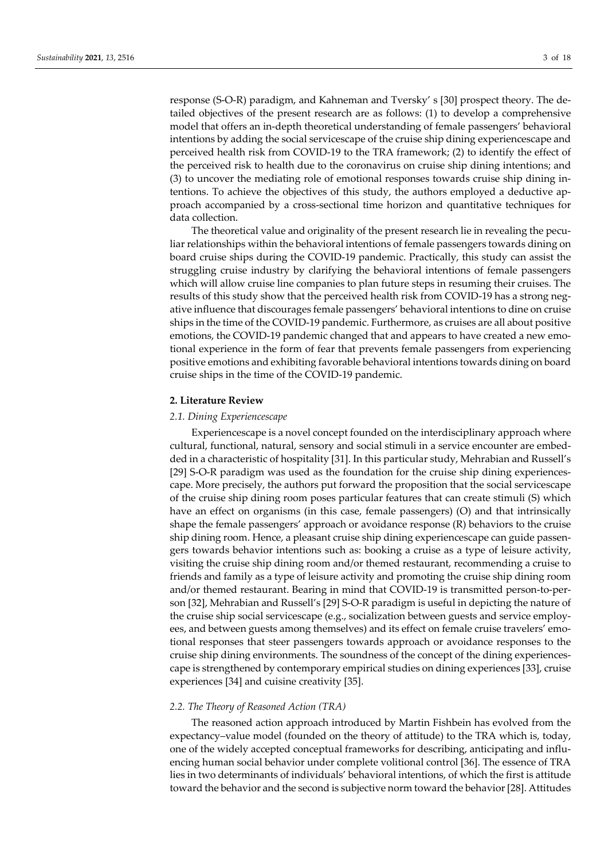response (S-O-R) paradigm, and Kahneman and Tversky' s [30] prospect theory. The detailed objectives of the present research are as follows: (1) to develop a comprehensive model that offers an in-depth theoretical understanding of female passengers' behavioral intentions by adding the social servicescape of the cruise ship dining experiencescape and perceived health risk from COVID-19 to the TRA framework; (2) to identify the effect of the perceived risk to health due to the coronavirus on cruise ship dining intentions; and (3) to uncover the mediating role of emotional responses towards cruise ship dining intentions. To achieve the objectives of this study, the authors employed a deductive approach accompanied by a cross-sectional time horizon and quantitative techniques for data collection.

The theoretical value and originality of the present research lie in revealing the peculiar relationships within the behavioral intentions of female passengers towards dining on board cruise ships during the COVID-19 pandemic. Practically, this study can assist the struggling cruise industry by clarifying the behavioral intentions of female passengers which will allow cruise line companies to plan future steps in resuming their cruises. The results of this study show that the perceived health risk from COVID-19 has a strong negative influence that discourages female passengers' behavioral intentions to dine on cruise ships in the time of the COVID-19 pandemic. Furthermore, as cruises are all about positive emotions, the COVID-19 pandemic changed that and appears to have created a new emotional experience in the form of fear that prevents female passengers from experiencing positive emotions and exhibiting favorable behavioral intentions towards dining on board cruise ships in the time of the COVID-19 pandemic.

## **2. Literature Review**

#### *2.1. Dining Experiencescape*

Experiencescape is a novel concept founded on the interdisciplinary approach where cultural, functional, natural, sensory and social stimuli in a service encounter are embedded in a characteristic of hospitality [31]. In this particular study, Mehrabian and Russell's [29] S-O-R paradigm was used as the foundation for the cruise ship dining experiencescape. More precisely, the authors put forward the proposition that the social servicescape of the cruise ship dining room poses particular features that can create stimuli (S) which have an effect on organisms (in this case, female passengers) (O) and that intrinsically shape the female passengers' approach or avoidance response (R) behaviors to the cruise ship dining room. Hence, a pleasant cruise ship dining experiencescape can guide passengers towards behavior intentions such as: booking a cruise as a type of leisure activity, visiting the cruise ship dining room and/or themed restaurant, recommending a cruise to friends and family as a type of leisure activity and promoting the cruise ship dining room and/or themed restaurant. Bearing in mind that COVID-19 is transmitted person-to-person [32], Mehrabian and Russell's [29] S-O-R paradigm is useful in depicting the nature of the cruise ship social servicescape (e.g., socialization between guests and service employees, and between guests among themselves) and its effect on female cruise travelers' emotional responses that steer passengers towards approach or avoidance responses to the cruise ship dining environments. The soundness of the concept of the dining experiencescape is strengthened by contemporary empirical studies on dining experiences [33], cruise experiences [34] and cuisine creativity [35].

#### *2.2. The Theory of Reasoned Action (TRA)*

The reasoned action approach introduced by Martin Fishbein has evolved from the expectancy–value model (founded on the theory of attitude) to the TRA which is, today, one of the widely accepted conceptual frameworks for describing, anticipating and influencing human social behavior under complete volitional control [36]. The essence of TRA lies in two determinants of individuals' behavioral intentions, of which the first is attitude toward the behavior and the second is subjective norm toward the behavior [28]. Attitudes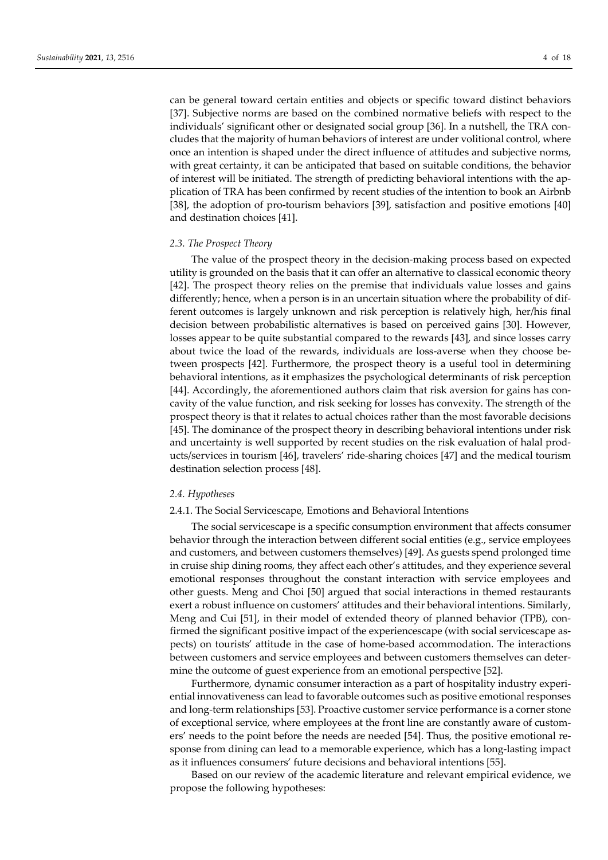can be general toward certain entities and objects or specific toward distinct behaviors [37]. Subjective norms are based on the combined normative beliefs with respect to the individuals' significant other or designated social group [36]. In a nutshell, the TRA concludes that the majority of human behaviors of interest are under volitional control, where once an intention is shaped under the direct influence of attitudes and subjective norms, with great certainty, it can be anticipated that based on suitable conditions, the behavior of interest will be initiated. The strength of predicting behavioral intentions with the application of TRA has been confirmed by recent studies of the intention to book an Airbnb [38], the adoption of pro-tourism behaviors [39], satisfaction and positive emotions [40] and destination choices [41].

### *2.3. The Prospect Theory*

The value of the prospect theory in the decision-making process based on expected utility is grounded on the basis that it can offer an alternative to classical economic theory [42]. The prospect theory relies on the premise that individuals value losses and gains differently; hence, when a person is in an uncertain situation where the probability of different outcomes is largely unknown and risk perception is relatively high, her/his final decision between probabilistic alternatives is based on perceived gains [30]. However, losses appear to be quite substantial compared to the rewards [43], and since losses carry about twice the load of the rewards, individuals are loss-averse when they choose between prospects [42]. Furthermore, the prospect theory is a useful tool in determining behavioral intentions, as it emphasizes the psychological determinants of risk perception [44]. Accordingly, the aforementioned authors claim that risk aversion for gains has concavity of the value function, and risk seeking for losses has convexity. The strength of the prospect theory is that it relates to actual choices rather than the most favorable decisions [45]. The dominance of the prospect theory in describing behavioral intentions under risk and uncertainty is well supported by recent studies on the risk evaluation of halal products/services in tourism [46], travelers' ride-sharing choices [47] and the medical tourism destination selection process [48].

#### *2.4. Hypotheses*

## 2.4.1. The Social Servicescape, Emotions and Behavioral Intentions

The social servicescape is a specific consumption environment that affects consumer behavior through the interaction between different social entities (e.g., service employees and customers, and between customers themselves) [49]. As guests spend prolonged time in cruise ship dining rooms, they affect each other's attitudes, and they experience several emotional responses throughout the constant interaction with service employees and other guests. Meng and Choi [50] argued that social interactions in themed restaurants exert a robust influence on customers' attitudes and their behavioral intentions. Similarly, Meng and Cui [51], in their model of extended theory of planned behavior (TPB), confirmed the significant positive impact of the experiencescape (with social servicescape aspects) on tourists' attitude in the case of home-based accommodation. The interactions between customers and service employees and between customers themselves can determine the outcome of guest experience from an emotional perspective [52].

Furthermore, dynamic consumer interaction as a part of hospitality industry experiential innovativeness can lead to favorable outcomes such as positive emotional responses and long-term relationships [53]. Proactive customer service performance is a corner stone of exceptional service, where employees at the front line are constantly aware of customers' needs to the point before the needs are needed [54]. Thus, the positive emotional response from dining can lead to a memorable experience, which has a long-lasting impact as it influences consumers' future decisions and behavioral intentions [55].

Based on our review of the academic literature and relevant empirical evidence, we propose the following hypotheses: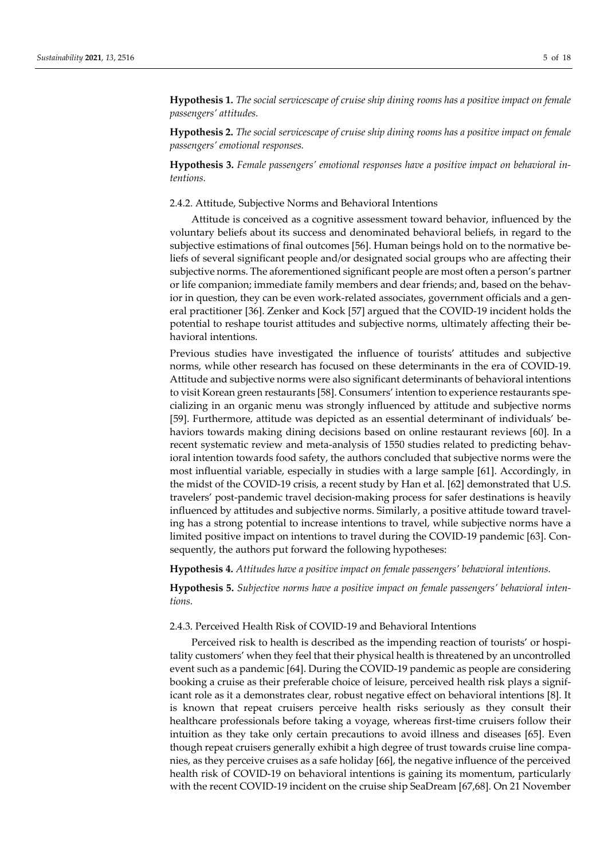**Hypothesis 1.** *The social servicescape of cruise ship dining rooms has a positive impact on female passengers' attitudes.* 

**Hypothesis 2.** *The social servicescape of cruise ship dining rooms has a positive impact on female passengers' emotional responses.* 

**Hypothesis 3.** *Female passengers' emotional responses have a positive impact on behavioral intentions.* 

## 2.4.2. Attitude, Subjective Norms and Behavioral Intentions

Attitude is conceived as a cognitive assessment toward behavior, influenced by the voluntary beliefs about its success and denominated behavioral beliefs, in regard to the subjective estimations of final outcomes [56]. Human beings hold on to the normative beliefs of several significant people and/or designated social groups who are affecting their subjective norms. The aforementioned significant people are most often a person's partner or life companion; immediate family members and dear friends; and, based on the behavior in question, they can be even work-related associates, government officials and a general practitioner [36]. Zenker and Kock [57] argued that the COVID-19 incident holds the potential to reshape tourist attitudes and subjective norms, ultimately affecting their behavioral intentions.

Previous studies have investigated the influence of tourists' attitudes and subjective norms, while other research has focused on these determinants in the era of COVID-19. Attitude and subjective norms were also significant determinants of behavioral intentions to visit Korean green restaurants [58]. Consumers' intention to experience restaurants specializing in an organic menu was strongly influenced by attitude and subjective norms [59]. Furthermore, attitude was depicted as an essential determinant of individuals' behaviors towards making dining decisions based on online restaurant reviews [60]. In a recent systematic review and meta-analysis of 1550 studies related to predicting behavioral intention towards food safety, the authors concluded that subjective norms were the most influential variable, especially in studies with a large sample [61]. Accordingly, in the midst of the COVID-19 crisis, a recent study by Han et al. [62] demonstrated that U.S. travelers' post-pandemic travel decision-making process for safer destinations is heavily influenced by attitudes and subjective norms. Similarly, a positive attitude toward traveling has a strong potential to increase intentions to travel, while subjective norms have a limited positive impact on intentions to travel during the COVID-19 pandemic [63]. Consequently, the authors put forward the following hypotheses:

**Hypothesis 4.** *Attitudes have a positive impact on female passengers' behavioral intentions.* 

**Hypothesis 5.** *Subjective norms have a positive impact on female passengers' behavioral intentions.* 

## 2.4.3. Perceived Health Risk of COVID-19 and Behavioral Intentions

Perceived risk to health is described as the impending reaction of tourists' or hospitality customers' when they feel that their physical health is threatened by an uncontrolled event such as a pandemic [64]. During the COVID-19 pandemic as people are considering booking a cruise as their preferable choice of leisure, perceived health risk plays a significant role as it a demonstrates clear, robust negative effect on behavioral intentions [8]. It is known that repeat cruisers perceive health risks seriously as they consult their healthcare professionals before taking a voyage, whereas first-time cruisers follow their intuition as they take only certain precautions to avoid illness and diseases [65]. Even though repeat cruisers generally exhibit a high degree of trust towards cruise line companies, as they perceive cruises as a safe holiday [66], the negative influence of the perceived health risk of COVID-19 on behavioral intentions is gaining its momentum, particularly with the recent COVID-19 incident on the cruise ship SeaDream [67,68]. On 21 November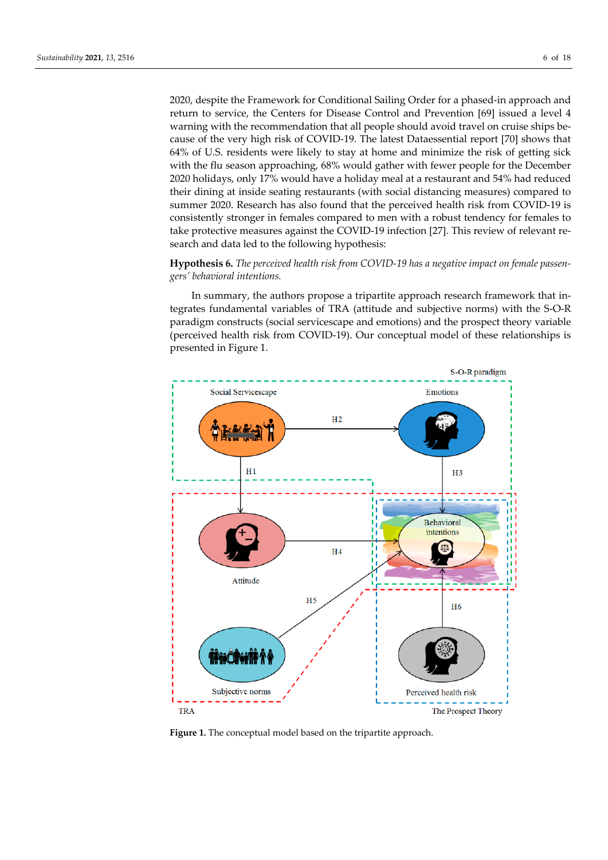2020, despite the Framework for Conditional Sailing Order for a phased-in approach and return to service, the Centers for Disease Control and Prevention [69] issued a level 4 warning with the recommendation that all people should avoid travel on cruise ships because of the very high risk of COVID-19. The latest Dataessential report [70] shows that 64% of U.S. residents were likely to stay at home and minimize the risk of getting sick with the flu season approaching, 68% would gather with fewer people for the December 2020 holidays, only 17% would have a holiday meal at a restaurant and 54% had reduced their dining at inside seating restaurants (with social distancing measures) compared to summer 2020. Research has also found that the perceived health risk from COVID-19 is consistently stronger in females compared to men with a robust tendency for females to take protective measures against the COVID-19 infection [27]. This review of relevant research and data led to the following hypothesis:

## **Hypothesis 6.** *The perceived health risk from COVID-19 has a negative impact on female passengers' behavioral intentions.*

In summary, the authors propose a tripartite approach research framework that integrates fundamental variables of TRA (attitude and subjective norms) with the S-O-R paradigm constructs (social servicescape and emotions) and the prospect theory variable (perceived health risk from COVID-19). Our conceptual model of these relationships is presented in Figure 1.



**Figure 1.** The conceptual model based on the tripartite approach.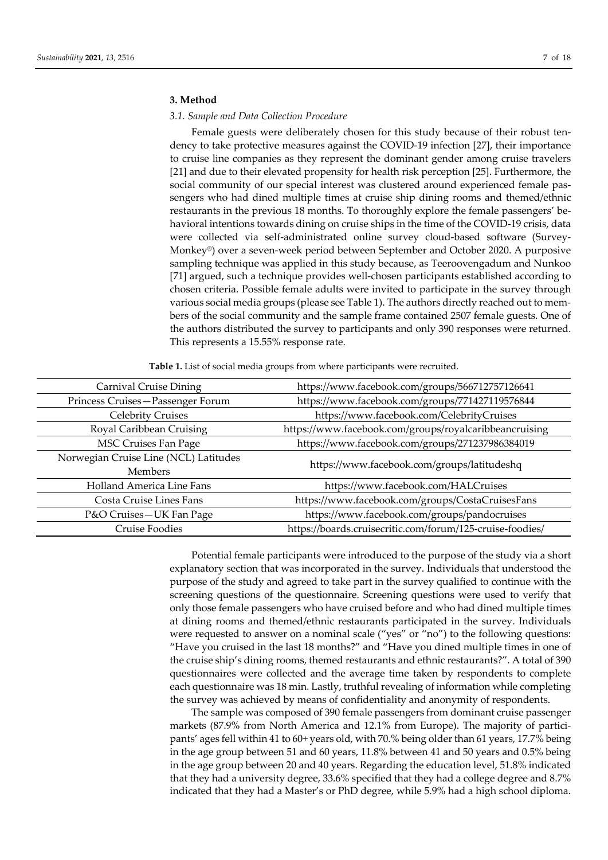## **3. Method**

## *3.1. Sample and Data Collection Procedure*

Female guests were deliberately chosen for this study because of their robust tendency to take protective measures against the COVID-19 infection [27], their importance to cruise line companies as they represent the dominant gender among cruise travelers [21] and due to their elevated propensity for health risk perception [25]. Furthermore, the social community of our special interest was clustered around experienced female passengers who had dined multiple times at cruise ship dining rooms and themed/ethnic restaurants in the previous 18 months. To thoroughly explore the female passengers' behavioral intentions towards dining on cruise ships in the time of the COVID-19 crisis, data were collected via self-administrated online survey cloud-based software (Survey-Monkey®) over a seven-week period between September and October 2020. A purposive sampling technique was applied in this study because, as Teeroovengadum and Nunkoo [71] argued, such a technique provides well-chosen participants established according to chosen criteria. Possible female adults were invited to participate in the survey through various social media groups (please see Table 1). The authors directly reached out to members of the social community and the sample frame contained 2507 female guests. One of the authors distributed the survey to participants and only 390 responses were returned. This represents a 15.55% response rate.

| Carnival Cruise Dining                | https://www.facebook.com/groups/566712757126641           |  |  |
|---------------------------------------|-----------------------------------------------------------|--|--|
| Princess Cruises-Passenger Forum      | https://www.facebook.com/groups/771427119576844           |  |  |
| <b>Celebrity Cruises</b>              | https://www.facebook.com/CelebrityCruises                 |  |  |
| Royal Caribbean Cruising              | https://www.facebook.com/groups/royalcaribbeancruising    |  |  |
| <b>MSC Cruises Fan Page</b>           | https://www.facebook.com/groups/271237986384019           |  |  |
| Norwegian Cruise Line (NCL) Latitudes | https://www.facebook.com/groups/latitudeshq               |  |  |
| <b>Members</b>                        |                                                           |  |  |
| Holland America Line Fans             | https://www.facebook.com/HALCruises                       |  |  |
| Costa Cruise Lines Fans               | https://www.facebook.com/groups/CostaCruisesFans          |  |  |
| P&O Cruises-UK Fan Page               | https://www.facebook.com/groups/pandocruises              |  |  |
| <b>Cruise Foodies</b>                 | https://boards.cruisecritic.com/forum/125-cruise-foodies/ |  |  |

**Table 1.** List of social media groups from where participants were recruited.

Potential female participants were introduced to the purpose of the study via a short explanatory section that was incorporated in the survey. Individuals that understood the purpose of the study and agreed to take part in the survey qualified to continue with the screening questions of the questionnaire. Screening questions were used to verify that only those female passengers who have cruised before and who had dined multiple times at dining rooms and themed/ethnic restaurants participated in the survey. Individuals were requested to answer on a nominal scale ("yes" or "no") to the following questions: "Have you cruised in the last 18 months?" and "Have you dined multiple times in one of the cruise ship's dining rooms, themed restaurants and ethnic restaurants?". A total of 390 questionnaires were collected and the average time taken by respondents to complete each questionnaire was 18 min. Lastly, truthful revealing of information while completing the survey was achieved by means of confidentiality and anonymity of respondents.

The sample was composed of 390 female passengers from dominant cruise passenger markets (87.9% from North America and 12.1% from Europe). The majority of participants' ages fell within 41 to 60+ years old, with 70.% being older than 61 years, 17.7% being in the age group between 51 and 60 years, 11.8% between 41 and 50 years and 0.5% being in the age group between 20 and 40 years. Regarding the education level, 51.8% indicated that they had a university degree, 33.6% specified that they had a college degree and 8.7% indicated that they had a Master's or PhD degree, while 5.9% had a high school diploma.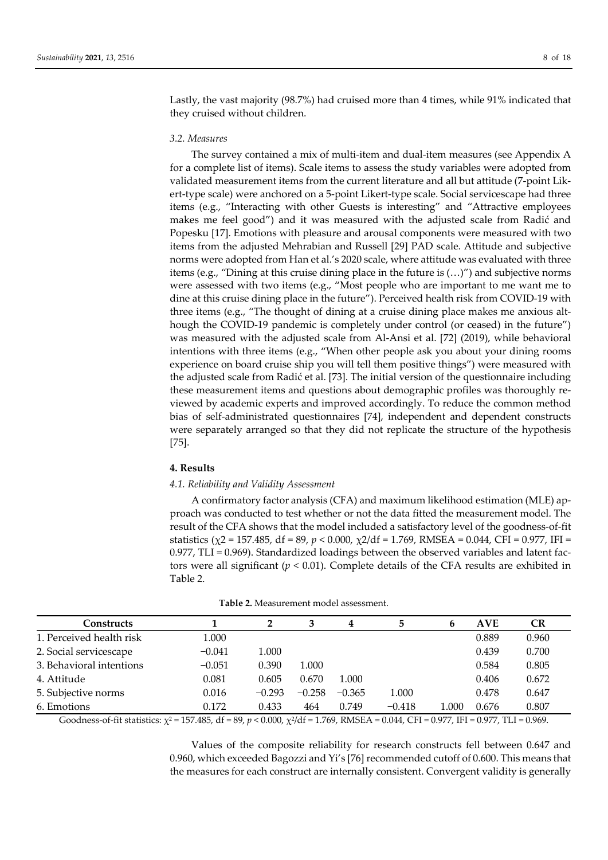Lastly, the vast majority (98.7%) had cruised more than 4 times, while 91% indicated that they cruised without children.

## *3.2. Measures*

The survey contained a mix of multi-item and dual-item measures (see Appendix A for a complete list of items). Scale items to assess the study variables were adopted from validated measurement items from the current literature and all but attitude (7-point Likert-type scale) were anchored on a 5-point Likert-type scale. Social servicescape had three items (e.g., "Interacting with other Guests is interesting" and "Attractive employees makes me feel good") and it was measured with the adjusted scale from Radić and Popesku [17]. Emotions with pleasure and arousal components were measured with two items from the adjusted Mehrabian and Russell [29] PAD scale. Attitude and subjective norms were adopted from Han et al.'s 2020 scale, where attitude was evaluated with three items (e.g., "Dining at this cruise dining place in the future is (…)") and subjective norms were assessed with two items (e.g., "Most people who are important to me want me to dine at this cruise dining place in the future"). Perceived health risk from COVID-19 with three items (e.g., "The thought of dining at a cruise dining place makes me anxious although the COVID-19 pandemic is completely under control (or ceased) in the future") was measured with the adjusted scale from Al-Ansi et al. [72] (2019), while behavioral intentions with three items (e.g., "When other people ask you about your dining rooms experience on board cruise ship you will tell them positive things") were measured with the adjusted scale from Radić et al. [73]. The initial version of the questionnaire including these measurement items and questions about demographic profiles was thoroughly reviewed by academic experts and improved accordingly. To reduce the common method bias of self-administrated questionnaires [74], independent and dependent constructs were separately arranged so that they did not replicate the structure of the hypothesis [75].

## **4. Results**

## *4.1. Reliability and Validity Assessment*

A confirmatory factor analysis (CFA) and maximum likelihood estimation (MLE) approach was conducted to test whether or not the data fitted the measurement model. The result of the CFA shows that the model included a satisfactory level of the goodness-of-fit statistics (χ2 = 157.485, df = 89, *p* < 0.000, χ2/df = 1.769, RMSEA = 0.044, CFI = 0.977, IFI = 0.977, TLI = 0.969). Standardized loadings between the observed variables and latent factors were all significant  $(p < 0.01)$ . Complete details of the CFA results are exhibited in Table 2.

| Constructs               |          | 2        | 3        | 4        |          | 6     | <b>AVE</b> | <b>CR</b> |
|--------------------------|----------|----------|----------|----------|----------|-------|------------|-----------|
| 1. Perceived health risk | 1.000    |          |          |          |          |       | 0.889      | 0.960     |
| 2. Social servicescape   | $-0.041$ | 1.000    |          |          |          |       | 0.439      | 0.700     |
| 3. Behavioral intentions | $-0.051$ | 0.390    | 1.000    |          |          |       | 0.584      | 0.805     |
| 4. Attitude              | 0.081    | 0.605    | 0.670    | 1.000    |          |       | 0.406      | 0.672     |
| 5. Subjective norms      | 0.016    | $-0.293$ | $-0.258$ | $-0.365$ | 1.000    |       | 0.478      | 0.647     |
| 6. Emotions              | 0.172    | 0.433    | 464      | 0.749    | $-0.418$ | 1.000 | 0.676      | 0.807     |

|  |  |  |  |  |  |  |  |  | <b>Table 2.</b> Measurement model assessment. |
|--|--|--|--|--|--|--|--|--|-----------------------------------------------|
|--|--|--|--|--|--|--|--|--|-----------------------------------------------|

Goodness-of-fit statistics:  $\chi^2$  = 157.485, df = 89, p < 0.000,  $\chi^2$ /df = 1.769, RMSEA = 0.044, CFI = 0.977, IFI = 0.977, TLI = 0.969.

Values of the composite reliability for research constructs fell between 0.647 and 0.960, which exceeded Bagozzi and Yi's [76] recommended cutoff of 0.600. This means that the measures for each construct are internally consistent. Convergent validity is generally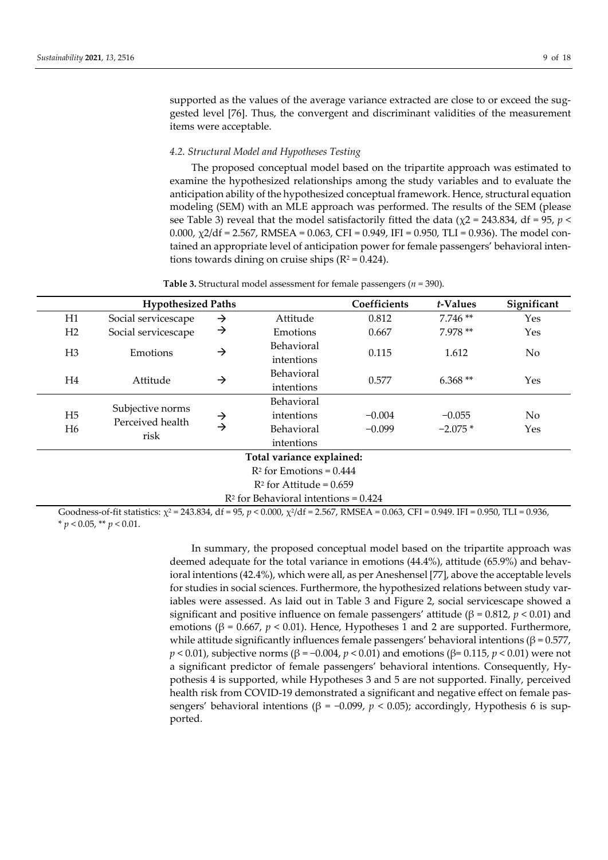supported as the values of the average variance extracted are close to or exceed the suggested level [76]. Thus, the convergent and discriminant validities of the measurement items were acceptable.

## *4.2. Structural Model and Hypotheses Testing*

The proposed conceptual model based on the tripartite approach was estimated to examine the hypothesized relationships among the study variables and to evaluate the anticipation ability of the hypothesized conceptual framework. Hence, structural equation modeling (SEM) with an MLE approach was performed. The results of the SEM (please see Table 3) reveal that the model satisfactorily fitted the data ( $\chi$ 2 = 243.834, df = 95, *p* < 0.000,  $\chi$ 2/df = 2.567, RMSEA = 0.063, CFI = 0.949, IFI = 0.950, TLI = 0.936). The model contained an appropriate level of anticipation power for female passengers' behavioral intentions towards dining on cruise ships  $(R^2 = 0.424)$ .

**Table 3.** Structural model assessment for female passengers ( $n = 390$ ).

|                           | <b>Hypothesized Paths</b>                              |                                |            | Coefficients | t-Values  | Significant |  |
|---------------------------|--------------------------------------------------------|--------------------------------|------------|--------------|-----------|-------------|--|
| H1                        | Social servicescape                                    | $\rightarrow$                  | Attitude   | 0.812        | $7.746**$ | Yes         |  |
| H2                        | Social servicescape                                    | →                              | Emotions   | 0.667        | 7.978 **  | Yes         |  |
|                           |                                                        |                                | Behavioral |              | 1.612     |             |  |
| H <sub>3</sub>            | Emotions                                               | $\rightarrow$                  | intentions | 0.115        |           | No          |  |
| H4                        | Attitude                                               | $\rightarrow$                  | Behavioral | 0.577        | $6.368**$ | Yes         |  |
|                           |                                                        |                                | intentions |              |           |             |  |
|                           |                                                        |                                | Behavioral |              |           |             |  |
| H <sub>5</sub>            | Subjective norms<br>Perceived health<br>H <sub>6</sub> | $\rightarrow$<br>$\rightarrow$ | intentions | $-0.004$     | $-0.055$  | No          |  |
|                           |                                                        |                                | Behavioral | $-0.099$     | $-2.075*$ | Yes         |  |
|                           | risk                                                   |                                | intentions |              |           |             |  |
| Total variance explained: |                                                        |                                |            |              |           |             |  |
|                           | $R^2$ for Emotions = 0.444                             |                                |            |              |           |             |  |
|                           | $R^2$ for Attitude = 0.659                             |                                |            |              |           |             |  |
|                           | $R2$ for Behavioral intentions = 0.424                 |                                |            |              |           |             |  |

Goodness-of-fit statistics:  $\chi^2$  = 243.834, df = 95, *p* < 0.000,  $\chi^2$ /df = 2.567, RMSEA = 0.063, CFI = 0.949. IFI = 0.950, TLI = 0.936,  $*$  *p* < 0.05, \*\* *p* < 0.01.

> In summary, the proposed conceptual model based on the tripartite approach was deemed adequate for the total variance in emotions (44.4%), attitude (65.9%) and behavioral intentions (42.4%), which were all, as per Aneshensel [77], above the acceptable levels for studies in social sciences. Furthermore, the hypothesized relations between study variables were assessed. As laid out in Table 3 and Figure 2, social servicescape showed a significant and positive influence on female passengers' attitude (β = 0.812, *p* < 0.01) and emotions ( $β = 0.667$ ,  $p < 0.01$ ). Hence, Hypotheses 1 and 2 are supported. Furthermore, while attitude significantly influences female passengers' behavioral intentions (β =  $0.577$ , *p* < 0.01), subjective norms (β = -0.004, *p* < 0.01) and emotions (β= 0.115, *p* < 0.01) were not a significant predictor of female passengers' behavioral intentions. Consequently, Hypothesis 4 is supported, while Hypotheses 3 and 5 are not supported. Finally, perceived health risk from COVID-19 demonstrated a significant and negative effect on female passengers' behavioral intentions ( $β = -0.099$ ,  $p < 0.05$ ); accordingly, Hypothesis 6 is supported.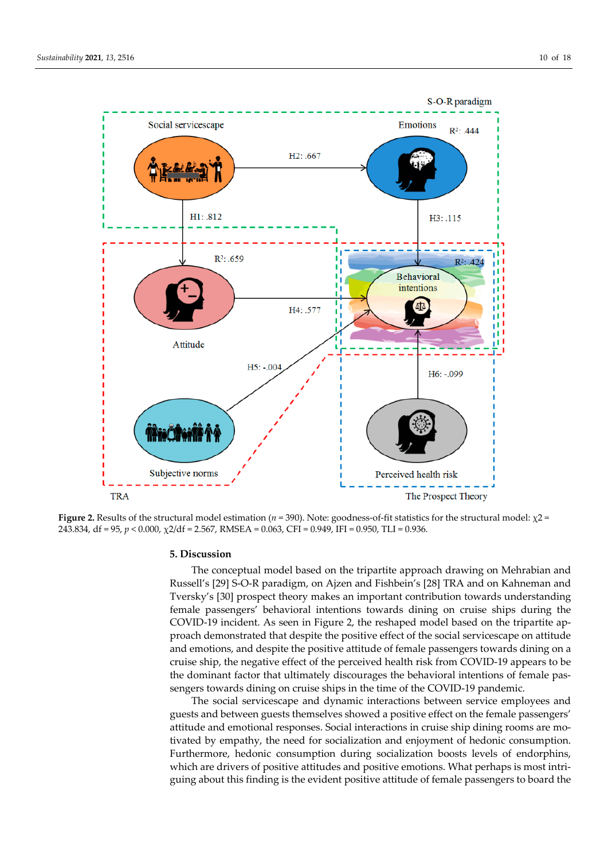

**Figure 2.** Results of the structural model estimation ( $n = 390$ ). Note: goodness-of-fit statistics for the structural model:  $χ2 =$ 243.834, df = 95, *p* < 0.000, χ2/df = 2.567, RMSEA = 0.063, CFI = 0.949, IFI = 0.950, TLI = 0.936.

## **5. Discussion**

The conceptual model based on the tripartite approach drawing on Mehrabian and Russell's [29] S-O-R paradigm, on Ajzen and Fishbein's [28] TRA and on Kahneman and Tversky's [30] prospect theory makes an important contribution towards understanding female passengers' behavioral intentions towards dining on cruise ships during the COVID-19 incident. As seen in Figure 2, the reshaped model based on the tripartite approach demonstrated that despite the positive effect of the social servicescape on attitude and emotions, and despite the positive attitude of female passengers towards dining on a cruise ship, the negative effect of the perceived health risk from COVID-19 appears to be the dominant factor that ultimately discourages the behavioral intentions of female passengers towards dining on cruise ships in the time of the COVID-19 pandemic.

The social servicescape and dynamic interactions between service employees and guests and between guests themselves showed a positive effect on the female passengers' attitude and emotional responses. Social interactions in cruise ship dining rooms are motivated by empathy, the need for socialization and enjoyment of hedonic consumption. Furthermore, hedonic consumption during socialization boosts levels of endorphins, which are drivers of positive attitudes and positive emotions. What perhaps is most intriguing about this finding is the evident positive attitude of female passengers to board the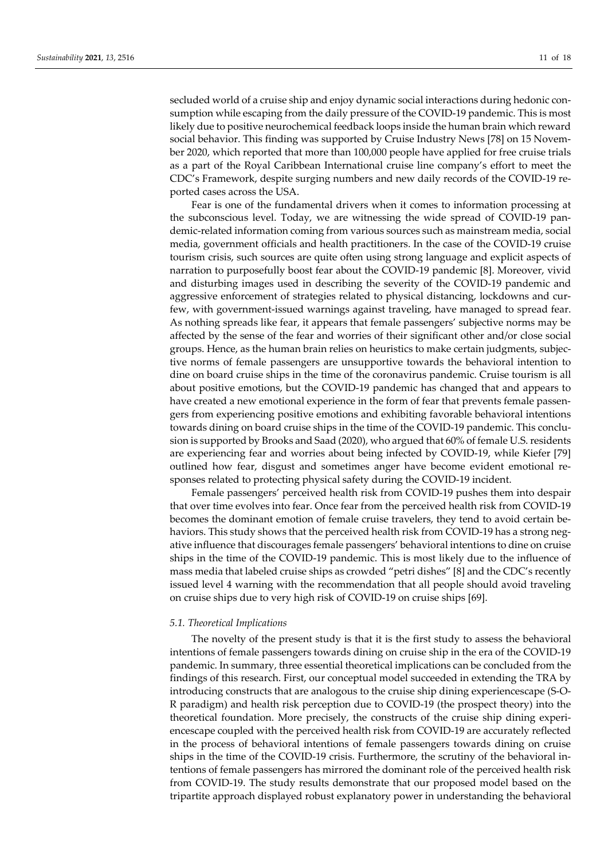secluded world of a cruise ship and enjoy dynamic social interactions during hedonic consumption while escaping from the daily pressure of the COVID-19 pandemic. This is most likely due to positive neurochemical feedback loops inside the human brain which reward social behavior. This finding was supported by Cruise Industry News [78] on 15 November 2020, which reported that more than 100,000 people have applied for free cruise trials as a part of the Royal Caribbean International cruise line company's effort to meet the CDC's Framework, despite surging numbers and new daily records of the COVID-19 reported cases across the USA.

Fear is one of the fundamental drivers when it comes to information processing at the subconscious level. Today, we are witnessing the wide spread of COVID-19 pandemic-related information coming from various sources such as mainstream media, social media, government officials and health practitioners. In the case of the COVID-19 cruise tourism crisis, such sources are quite often using strong language and explicit aspects of narration to purposefully boost fear about the COVID-19 pandemic [8]. Moreover, vivid and disturbing images used in describing the severity of the COVID-19 pandemic and aggressive enforcement of strategies related to physical distancing, lockdowns and curfew, with government-issued warnings against traveling, have managed to spread fear. As nothing spreads like fear, it appears that female passengers' subjective norms may be affected by the sense of the fear and worries of their significant other and/or close social groups. Hence, as the human brain relies on heuristics to make certain judgments, subjective norms of female passengers are unsupportive towards the behavioral intention to dine on board cruise ships in the time of the coronavirus pandemic. Cruise tourism is all about positive emotions, but the COVID-19 pandemic has changed that and appears to have created a new emotional experience in the form of fear that prevents female passengers from experiencing positive emotions and exhibiting favorable behavioral intentions towards dining on board cruise ships in the time of the COVID-19 pandemic. This conclusion is supported by Brooks and Saad (2020), who argued that 60% of female U.S. residents are experiencing fear and worries about being infected by COVID-19, while Kiefer [79] outlined how fear, disgust and sometimes anger have become evident emotional responses related to protecting physical safety during the COVID-19 incident.

Female passengers' perceived health risk from COVID-19 pushes them into despair that over time evolves into fear. Once fear from the perceived health risk from COVID-19 becomes the dominant emotion of female cruise travelers, they tend to avoid certain behaviors. This study shows that the perceived health risk from COVID-19 has a strong negative influence that discourages female passengers' behavioral intentions to dine on cruise ships in the time of the COVID-19 pandemic. This is most likely due to the influence of mass media that labeled cruise ships as crowded "petri dishes" [8] and the CDC's recently issued level 4 warning with the recommendation that all people should avoid traveling on cruise ships due to very high risk of COVID-19 on cruise ships [69].

## *5.1. Theoretical Implications*

The novelty of the present study is that it is the first study to assess the behavioral intentions of female passengers towards dining on cruise ship in the era of the COVID-19 pandemic. In summary, three essential theoretical implications can be concluded from the findings of this research. First, our conceptual model succeeded in extending the TRA by introducing constructs that are analogous to the cruise ship dining experiencescape (S-O-R paradigm) and health risk perception due to COVID-19 (the prospect theory) into the theoretical foundation. More precisely, the constructs of the cruise ship dining experiencescape coupled with the perceived health risk from COVID-19 are accurately reflected in the process of behavioral intentions of female passengers towards dining on cruise ships in the time of the COVID-19 crisis. Furthermore, the scrutiny of the behavioral intentions of female passengers has mirrored the dominant role of the perceived health risk from COVID-19. The study results demonstrate that our proposed model based on the tripartite approach displayed robust explanatory power in understanding the behavioral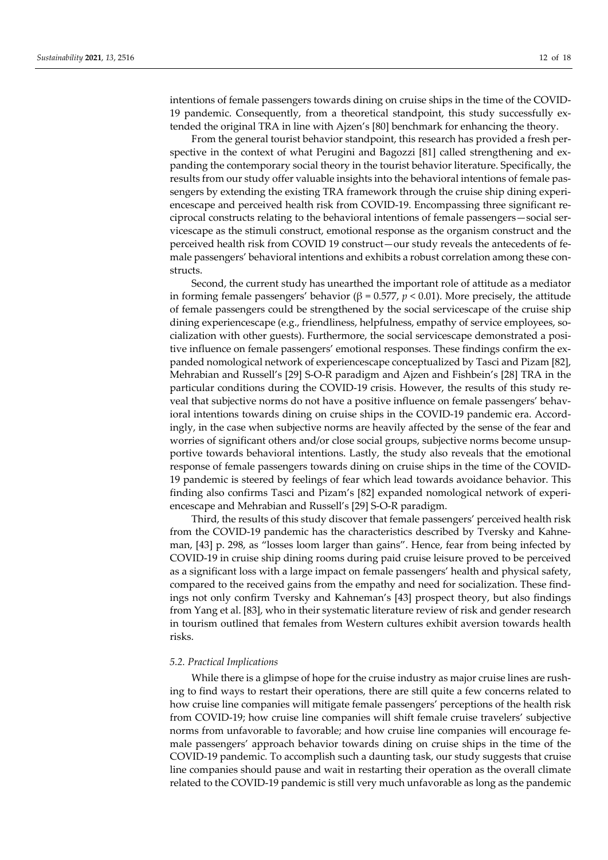intentions of female passengers towards dining on cruise ships in the time of the COVID-19 pandemic. Consequently, from a theoretical standpoint, this study successfully extended the original TRA in line with Ajzen's [80] benchmark for enhancing the theory.

From the general tourist behavior standpoint, this research has provided a fresh perspective in the context of what Perugini and Bagozzi [81] called strengthening and expanding the contemporary social theory in the tourist behavior literature. Specifically, the results from our study offer valuable insights into the behavioral intentions of female passengers by extending the existing TRA framework through the cruise ship dining experiencescape and perceived health risk from COVID-19. Encompassing three significant reciprocal constructs relating to the behavioral intentions of female passengers—social servicescape as the stimuli construct, emotional response as the organism construct and the perceived health risk from COVID 19 construct—our study reveals the antecedents of female passengers' behavioral intentions and exhibits a robust correlation among these constructs.

Second, the current study has unearthed the important role of attitude as a mediator in forming female passengers' behavior ( $\beta$  = 0.577,  $p$  < 0.01). More precisely, the attitude of female passengers could be strengthened by the social servicescape of the cruise ship dining experiencescape (e.g., friendliness, helpfulness, empathy of service employees, socialization with other guests). Furthermore, the social servicescape demonstrated a positive influence on female passengers' emotional responses. These findings confirm the expanded nomological network of experiencescape conceptualized by Tasci and Pizam [82], Mehrabian and Russell's [29] S-O-R paradigm and Ajzen and Fishbein's [28] TRA in the particular conditions during the COVID-19 crisis. However, the results of this study reveal that subjective norms do not have a positive influence on female passengers' behavioral intentions towards dining on cruise ships in the COVID-19 pandemic era. Accordingly, in the case when subjective norms are heavily affected by the sense of the fear and worries of significant others and/or close social groups, subjective norms become unsupportive towards behavioral intentions. Lastly, the study also reveals that the emotional response of female passengers towards dining on cruise ships in the time of the COVID-19 pandemic is steered by feelings of fear which lead towards avoidance behavior. This finding also confirms Tasci and Pizam's [82] expanded nomological network of experiencescape and Mehrabian and Russell's [29] S-O-R paradigm.

Third, the results of this study discover that female passengers' perceived health risk from the COVID-19 pandemic has the characteristics described by Tversky and Kahneman, [43] p. 298, as "losses loom larger than gains". Hence, fear from being infected by COVID-19 in cruise ship dining rooms during paid cruise leisure proved to be perceived as a significant loss with a large impact on female passengers' health and physical safety, compared to the received gains from the empathy and need for socialization. These findings not only confirm Tversky and Kahneman's [43] prospect theory, but also findings from Yang et al. [83], who in their systematic literature review of risk and gender research in tourism outlined that females from Western cultures exhibit aversion towards health risks.

#### *5.2. Practical Implications*

While there is a glimpse of hope for the cruise industry as major cruise lines are rushing to find ways to restart their operations, there are still quite a few concerns related to how cruise line companies will mitigate female passengers' perceptions of the health risk from COVID-19; how cruise line companies will shift female cruise travelers' subjective norms from unfavorable to favorable; and how cruise line companies will encourage female passengers' approach behavior towards dining on cruise ships in the time of the COVID-19 pandemic. To accomplish such a daunting task, our study suggests that cruise line companies should pause and wait in restarting their operation as the overall climate related to the COVID-19 pandemic is still very much unfavorable as long as the pandemic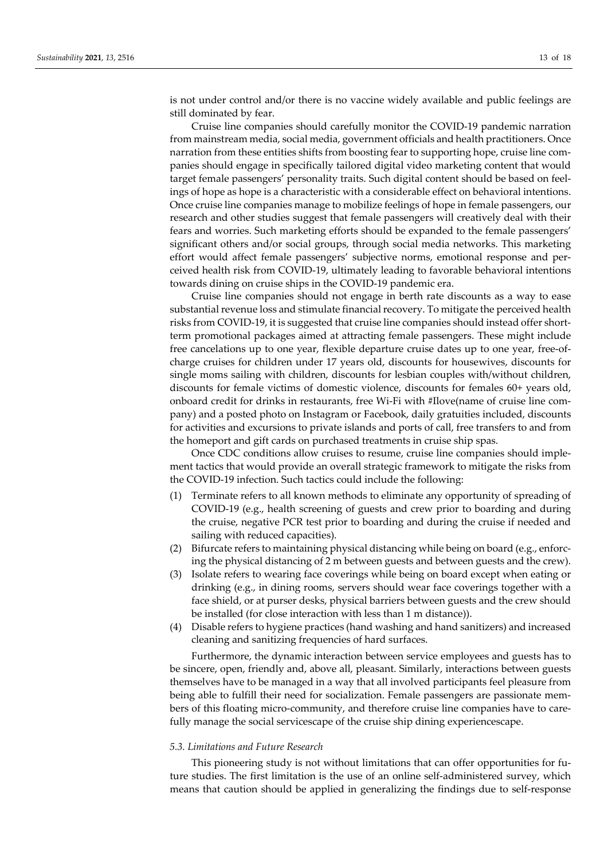is not under control and/or there is no vaccine widely available and public feelings are still dominated by fear.

Cruise line companies should carefully monitor the COVID-19 pandemic narration from mainstream media, social media, government officials and health practitioners. Once narration from these entities shifts from boosting fear to supporting hope, cruise line companies should engage in specifically tailored digital video marketing content that would target female passengers' personality traits. Such digital content should be based on feelings of hope as hope is a characteristic with a considerable effect on behavioral intentions. Once cruise line companies manage to mobilize feelings of hope in female passengers, our research and other studies suggest that female passengers will creatively deal with their fears and worries. Such marketing efforts should be expanded to the female passengers' significant others and/or social groups, through social media networks. This marketing effort would affect female passengers' subjective norms, emotional response and perceived health risk from COVID-19, ultimately leading to favorable behavioral intentions towards dining on cruise ships in the COVID-19 pandemic era.

Cruise line companies should not engage in berth rate discounts as a way to ease substantial revenue loss and stimulate financial recovery. To mitigate the perceived health risks from COVID-19, it is suggested that cruise line companies should instead offer shortterm promotional packages aimed at attracting female passengers. These might include free cancelations up to one year, flexible departure cruise dates up to one year, free-ofcharge cruises for children under 17 years old, discounts for housewives, discounts for single moms sailing with children, discounts for lesbian couples with/without children, discounts for female victims of domestic violence, discounts for females 60+ years old, onboard credit for drinks in restaurants, free Wi-Fi with #Ilove(name of cruise line company) and a posted photo on Instagram or Facebook, daily gratuities included, discounts for activities and excursions to private islands and ports of call, free transfers to and from the homeport and gift cards on purchased treatments in cruise ship spas.

Once CDC conditions allow cruises to resume, cruise line companies should implement tactics that would provide an overall strategic framework to mitigate the risks from the COVID-19 infection. Such tactics could include the following:

- (1) Terminate refers to all known methods to eliminate any opportunity of spreading of COVID-19 (e.g., health screening of guests and crew prior to boarding and during the cruise, negative PCR test prior to boarding and during the cruise if needed and sailing with reduced capacities).
- (2) Bifurcate refers to maintaining physical distancing while being on board (e.g., enforcing the physical distancing of 2 m between guests and between guests and the crew).
- (3) Isolate refers to wearing face coverings while being on board except when eating or drinking (e.g., in dining rooms, servers should wear face coverings together with a face shield, or at purser desks, physical barriers between guests and the crew should be installed (for close interaction with less than 1 m distance)).
- (4) Disable refers to hygiene practices (hand washing and hand sanitizers) and increased cleaning and sanitizing frequencies of hard surfaces.

Furthermore, the dynamic interaction between service employees and guests has to be sincere, open, friendly and, above all, pleasant. Similarly, interactions between guests themselves have to be managed in a way that all involved participants feel pleasure from being able to fulfill their need for socialization. Female passengers are passionate members of this floating micro-community, and therefore cruise line companies have to carefully manage the social servicescape of the cruise ship dining experiencescape.

#### *5.3. Limitations and Future Research*

This pioneering study is not without limitations that can offer opportunities for future studies. The first limitation is the use of an online self-administered survey, which means that caution should be applied in generalizing the findings due to self-response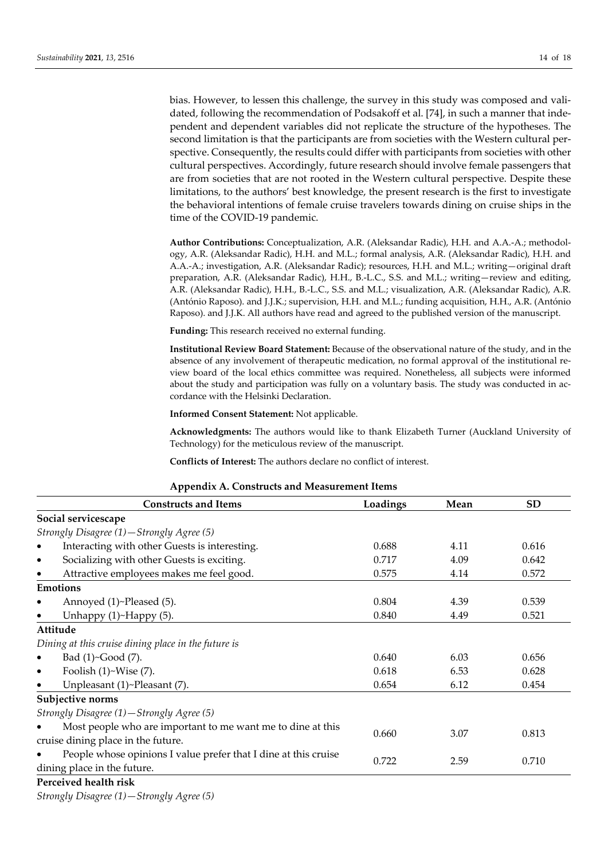bias. However, to lessen this challenge, the survey in this study was composed and validated, following the recommendation of Podsakoff et al. [74], in such a manner that independent and dependent variables did not replicate the structure of the hypotheses. The second limitation is that the participants are from societies with the Western cultural perspective. Consequently, the results could differ with participants from societies with other cultural perspectives. Accordingly, future research should involve female passengers that are from societies that are not rooted in the Western cultural perspective. Despite these limitations, to the authors' best knowledge, the present research is the first to investigate the behavioral intentions of female cruise travelers towards dining on cruise ships in the time of the COVID-19 pandemic.

**Author Contributions:** Conceptualization, A.R. (Aleksandar Radic), H.H. and A.A.-A.; methodology, A.R. (Aleksandar Radic), H.H. and M.L.; formal analysis, A.R. (Aleksandar Radic), H.H. and A.A.-A.; investigation, A.R. (Aleksandar Radic); resources, H.H. and M.L.; writing—original draft preparation, A.R. (Aleksandar Radic), H.H., B.-L.C., S.S. and M.L.; writing—review and editing, A.R. (Aleksandar Radic), H.H., B.-L.C., S.S. and M.L.; visualization, A.R. (Aleksandar Radic), A.R. (António Raposo). and J.J.K.; supervision, H.H. and M.L.; funding acquisition, H.H., A.R. (António Raposo). and J.J.K. All authors have read and agreed to the published version of the manuscript.

**Funding:** This research received no external funding.

**Institutional Review Board Statement:** Because of the observational nature of the study, and in the absence of any involvement of therapeutic medication, no formal approval of the institutional review board of the local ethics committee was required. Nonetheless, all subjects were informed about the study and participation was fully on a voluntary basis. The study was conducted in accordance with the Helsinki Declaration.

**Informed Consent Statement:** Not applicable.

**Acknowledgments:** The authors would like to thank Elizabeth Turner (Auckland University of Technology) for the meticulous review of the manuscript.

**Conflicts of Interest:** The authors declare no conflict of interest.

| <b>Appendix A. Constructs and Measurement Items</b> |  |
|-----------------------------------------------------|--|
|-----------------------------------------------------|--|

| <b>Constructs and Items</b>                                     | Loadings | Mean | <b>SD</b> |  |
|-----------------------------------------------------------------|----------|------|-----------|--|
| Social servicescape                                             |          |      |           |  |
| Strongly Disagree (1)-Strongly Agree (5)                        |          |      |           |  |
| Interacting with other Guests is interesting.<br>$\bullet$      | 0.688    | 4.11 | 0.616     |  |
| Socializing with other Guests is exciting.<br>$\bullet$         | 0.717    | 4.09 | 0.642     |  |
| Attractive employees makes me feel good.<br>$\bullet$           | 0.575    | 4.14 | 0.572     |  |
| Emotions                                                        |          |      |           |  |
| Annoyed (1)~Pleased (5).<br>$\bullet$                           | 0.804    | 4.39 | 0.539     |  |
| Unhappy $(1)$ ~Happy $(5)$ .<br>$\bullet$                       | 0.840    | 4.49 | 0.521     |  |
| Attitude                                                        |          |      |           |  |
| Dining at this cruise dining place in the future is             |          |      |           |  |
| Bad (1)~Good (7).<br>$\bullet$                                  | 0.640    | 6.03 | 0.656     |  |
| Foolish $(1)$ ~Wise $(7)$ .<br>$\bullet$                        | 0.618    | 6.53 | 0.628     |  |
| Unpleasant (1)~Pleasant (7).                                    | 0.654    | 6.12 | 0.454     |  |
| Subjective norms                                                |          |      |           |  |
| Strongly Disagree (1)-Strongly Agree (5)                        |          |      |           |  |
| Most people who are important to me want me to dine at this     | 0.660    |      | 0.813     |  |
| cruise dining place in the future.                              |          | 3.07 |           |  |
| People whose opinions I value prefer that I dine at this cruise |          |      |           |  |
| dining place in the future.                                     | 0.722    | 2.59 | 0.710     |  |
| Perceived health risk                                           |          |      |           |  |

*Strongly Disagree (1)—Strongly Agree (5)*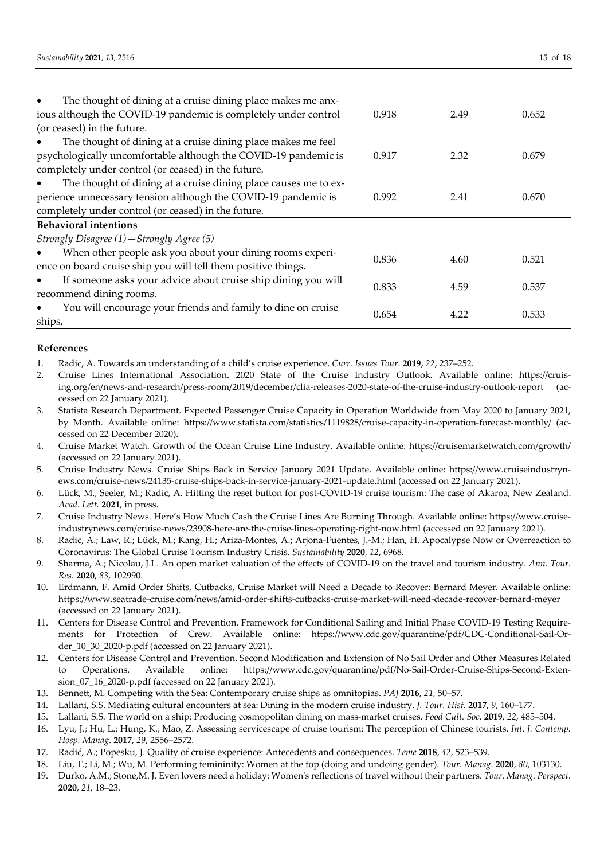| The thought of dining at a cruise dining place makes me anx-<br>$\bullet$    |       |      |       |
|------------------------------------------------------------------------------|-------|------|-------|
| ious although the COVID-19 pandemic is completely under control              | 0.918 | 2.49 | 0.652 |
| (or ceased) in the future.                                                   |       |      |       |
| The thought of dining at a cruise dining place makes me feel<br>٠            |       |      |       |
| psychologically uncomfortable although the COVID-19 pandemic is              | 0.917 | 2.32 | 0.679 |
| completely under control (or ceased) in the future.                          |       |      |       |
| The thought of dining at a cruise dining place causes me to ex-<br>$\bullet$ |       |      |       |
| perience unnecessary tension although the COVID-19 pandemic is               | 0.992 | 2.41 | 0.670 |
| completely under control (or ceased) in the future.                          |       |      |       |
| <b>Behavioral intentions</b>                                                 |       |      |       |
| Strongly Disagree (1)-Strongly Agree (5)                                     |       |      |       |
| When other people ask you about your dining rooms experi-<br>$\bullet$       | 0.836 | 4.60 | 0.521 |
| ence on board cruise ship you will tell them positive things.                |       |      |       |
| If someone asks your advice about cruise ship dining you will<br>$\bullet$   | 0.833 | 4.59 | 0.537 |
| recommend dining rooms.                                                      |       |      |       |
| You will encourage your friends and family to dine on cruise<br>$\bullet$    | 0.654 | 4.22 | 0.533 |
| ships.                                                                       |       |      |       |

## **References**

1. Radic, A. Towards an understanding of a child's cruise experience. *Curr. Issues Tour*. **2019**, *22*, 237–252.

2. Cruise Lines International Association. 2020 State of the Cruise Industry Outlook. Available online: https://cruising.org/en/news-and-research/press-room/2019/december/clia-releases-2020-state-of-the-cruise-industry-outlook-report (accessed on 22 January 2021).

- 3. Statista Research Department. Expected Passenger Cruise Capacity in Operation Worldwide from May 2020 to January 2021, by Month. Available online: https://www.statista.com/statistics/1119828/cruise-capacity-in-operation-forecast-monthly/ (accessed on 22 December 2020).
- 4. Cruise Market Watch. Growth of the Ocean Cruise Line Industry. Available online: https://cruisemarketwatch.com/growth/ (accessed on 22 January 2021).
- 5. Cruise Industry News. Cruise Ships Back in Service January 2021 Update. Available online: https://www.cruiseindustrynews.com/cruise-news/24135-cruise-ships-back-in-service-january-2021-update.html (accessed on 22 January 2021).
- 6. Lück, M.; Seeler, M.; Radic, A. Hitting the reset button for post-COVID-19 cruise tourism: The case of Akaroa, New Zealand. *Acad. Lett.* **2021**, in press.
- 7. Cruise Industry News. Here's How Much Cash the Cruise Lines Are Burning Through. Available online: https://www.cruiseindustrynews.com/cruise-news/23908-here-are-the-cruise-lines-operating-right-now.html (accessed on 22 January 2021).
- 8. Radic, A.; Law, R.; Lück, M.; Kang, H.; Ariza-Montes, A.; Arjona-Fuentes, J.-M.; Han, H. Apocalypse Now or Overreaction to Coronavirus: The Global Cruise Tourism Industry Crisis. *Sustainability* **2020**, *12*, 6968.
- 9. Sharma, A.; Nicolau, J.L. An open market valuation of the effects of COVID-19 on the travel and tourism industry. *Ann. Tour. Res*. **2020**, *83*, 102990.
- 10. Erdmann, F. Amid Order Shifts, Cutbacks, Cruise Market will Need a Decade to Recover: Bernard Meyer. Available online: https://www.seatrade-cruise.com/news/amid-order-shifts-cutbacks-cruise-market-will-need-decade-recover-bernard-meyer (accessed on 22 January 2021).
- 11. Centers for Disease Control and Prevention. Framework for Conditional Sailing and Initial Phase COVID-19 Testing Requirements for Protection of Crew. Available online: https://www.cdc.gov/quarantine/pdf/CDC-Conditional-Sail-Order\_10\_30\_2020-p.pdf (accessed on 22 January 2021).
- 12. Centers for Disease Control and Prevention. Second Modification and Extension of No Sail Order and Other Measures Related to Operations. Available online: https://www.cdc.gov/quarantine/pdf/No-Sail-Order-Cruise-Ships-Second-Extension\_07\_16\_2020-p.pdf (accessed on 22 January 2021).
- 13. Bennett, M. Competing with the Sea: Contemporary cruise ships as omnitopias. *PAJ* **2016**, *21*, 50–57.
- 14. Lallani, S.S. Mediating cultural encounters at sea: Dining in the modern cruise industry. *J. Tour. Hist.* **2017**, *9*, 160–177.
- 15. Lallani, S.S. The world on a ship: Producing cosmopolitan dining on mass-market cruises. *Food Cult. Soc*. **2019**, *22*, 485–504.
- 16. Lyu, J.; Hu, L.; Hung, K.; Mao, Z. Assessing servicescape of cruise tourism: The perception of Chinese tourists. *Int. J. Contemp. Hosp. Manag*. **2017**, *29*, 2556–2572.
- 17. Radić, A.; Popesku, J. Quality of cruise experience: Antecedents and consequences. *Teme* **2018**, *42*, 523–539.
- 18. Liu, T.; Li, M.; Wu, M. Performing femininity: Women at the top (doing and undoing gender). *Tour. Manag*. **2020**, *80*, 103130.
- 19. Durko, A.M.; Stone,M. J. Even lovers need a holiday: Women's reflections of travel without their partners. *Tour. Manag. Perspect*. **2020**, *21*, 18–23.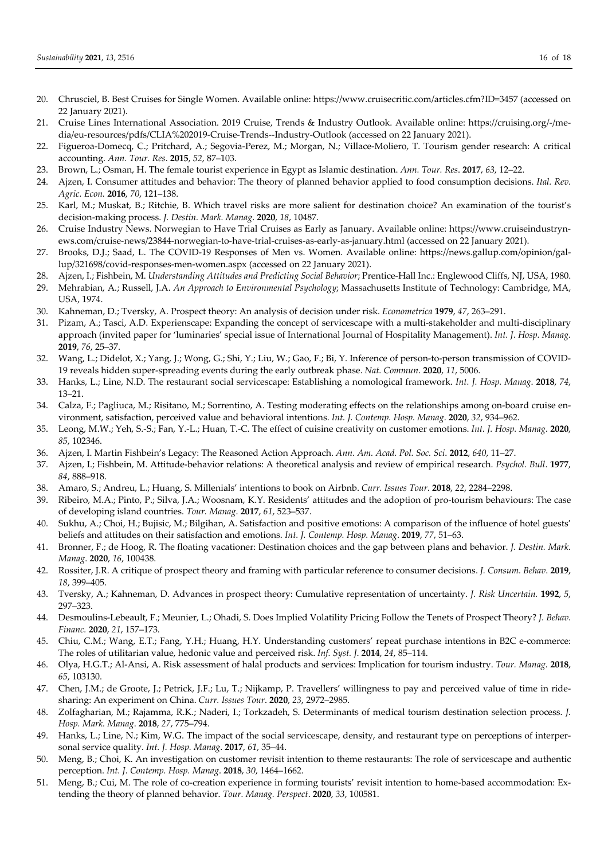- 20. Chrusciel, B. Best Cruises for Single Women. Available online: https://www.cruisecritic.com/articles.cfm?ID=3457 (accessed on 22 January 2021).
- 21. Cruise Lines International Association. 2019 Cruise, Trends & Industry Outlook. Available online: https://cruising.org/-/media/eu-resources/pdfs/CLIA%202019-Cruise-Trends--Industry-Outlook (accessed on 22 January 2021).
- 22. Figueroa-Domecq, C.; Pritchard, A.; Segovia-Perez, M.; Morgan, N.; Villace-Moliero, T. Tourism gender research: A critical accounting. *Ann. Tour. Res*. **2015**, *52*, 87–103.
- 23. Brown, L.; Osman, H. The female tourist experience in Egypt as Islamic destination. *Ann. Tour. Res*. **2017**, *63*, 12–22.
- 24. Ajzen, I. Consumer attitudes and behavior: The theory of planned behavior applied to food consumption decisions. *Ital. Rev. Agric. Econ.* **2016**, *70*, 121–138.
- 25. Karl, M.; Muskat, B.; Ritchie, B. Which travel risks are more salient for destination choice? An examination of the tourist's decision-making process. *J. Destin. Mark. Manag*. **2020**, *18*, 10487.
- 26. Cruise Industry News. Norwegian to Have Trial Cruises as Early as January. Available online: https://www.cruiseindustrynews.com/cruise-news/23844-norwegian-to-have-trial-cruises-as-early-as-january.html (accessed on 22 January 2021).
- 27. Brooks, D.J.; Saad, L. The COVID-19 Responses of Men vs. Women. Available online: https://news.gallup.com/opinion/gallup/321698/covid-responses-men-women.aspx (accessed on 22 January 2021).
- 28. Ajzen, I.; Fishbein, M. *Understanding Attitudes and Predicting Social Behavior*; Prentice-Hall Inc.: Englewood Cliffs, NJ, USA, 1980.
- 29. Mehrabian, A.; Russell, J.A. *An Approach to Environmental Psychology*; Massachusetts Institute of Technology: Cambridge, MA, USA, 1974.
- 30. Kahneman, D.; Tversky, A. Prospect theory: An analysis of decision under risk. *Econometrica* **1979**, *47*, 263–291.
- 31. Pizam, A.; Tasci, A.D. Experienscape: Expanding the concept of servicescape with a multi-stakeholder and multi-disciplinary approach (invited paper for 'luminaries' special issue of International Journal of Hospitality Management). *Int. J. Hosp. Manag.* **2019**, *76*, 25–37.
- 32. Wang, L.; Didelot, X.; Yang, J.; Wong, G.; Shi, Y.; Liu, W.; Gao, F.; Bi, Y. Inference of person-to-person transmission of COVID-19 reveals hidden super-spreading events during the early outbreak phase. *Nat. Commun*. **2020**, *11*, 5006.
- 33. Hanks, L.; Line, N.D. The restaurant social servicescape: Establishing a nomological framework. *Int. J. Hosp. Manag*. **2018**, *74*, 13–21.
- 34. Calza, F.; Pagliuca, M.; Risitano, M.; Sorrentino, A. Testing moderating effects on the relationships among on-board cruise environment, satisfaction, perceived value and behavioral intentions. *Int. J. Contemp. Hosp. Manag*. **2020**, *32*, 934–962.
- 35. Leong, M.W.; Yeh, S.-S.; Fan, Y.-L.; Huan, T.-C. The effect of cuisine creativity on customer emotions. *Int. J. Hosp. Manag*. **2020**, *85*, 102346.
- 36. Ajzen, I. Martin Fishbein's Legacy: The Reasoned Action Approach. *Ann. Am. Acad. Pol. Soc. Sci*. **2012**, *640*, 11–27.
- 37. Ajzen, I.; Fishbein, M. Attitude-behavior relations: A theoretical analysis and review of empirical research. *Psychol. Bull*. **1977**, *84*, 888–918.
- 38. Amaro, S.; Andreu, L.; Huang, S. Millenials' intentions to book on Airbnb. *Curr. Issues Tour*. **2018**, *22*, 2284–2298.
- 39. Ribeiro, M.A.; Pinto, P.; Silva, J.A.; Woosnam, K.Y. Residents' attitudes and the adoption of pro-tourism behaviours: The case of developing island countries. *Tour. Manag*. **2017**, *61*, 523–537.
- 40. Sukhu, A.; Choi, H.; Bujisic, M.; Bilgihan, A. Satisfaction and positive emotions: A comparison of the influence of hotel guests' beliefs and attitudes on their satisfaction and emotions. *Int. J. Contemp. Hosp. Manag*. **2019**, *77*, 51–63.
- 41. Bronner, F.; de Hoog, R. The floating vacationer: Destination choices and the gap between plans and behavior. *J. Destin. Mark. Manag*. **2020**, *16*, 100438.
- 42. Rossiter, J.R. A critique of prospect theory and framing with particular reference to consumer decisions. *J. Consum. Behav*. **2019**, *18*, 399–405.
- 43. Tversky, A.; Kahneman, D. Advances in prospect theory: Cumulative representation of uncertainty. *J. Risk Uncertain.* **1992**, *5*, 297–323.
- 44. Desmoulins-Lebeault, F.; Meunier, L.; Ohadi, S. Does Implied Volatility Pricing Follow the Tenets of Prospect Theory? *J. Behav. Financ.* **2020**, *21*, 157–173.
- 45. Chiu, C.M.; Wang, E.T.; Fang, Y.H.; Huang, H.Y. Understanding customers' repeat purchase intentions in B2C e-commerce: The roles of utilitarian value, hedonic value and perceived risk. *Inf. Syst. J*. **2014**, *24*, 85–114.
- 46. Olya, H.G.T.; Al-Ansi, A. Risk assessment of halal products and services: Implication for tourism industry. *Tour. Manag*. **2018**, *65*, 103130.
- 47. Chen, J.M.; de Groote, J.; Petrick, J.F.; Lu, T.; Nijkamp, P. Travellers' willingness to pay and perceived value of time in ridesharing: An experiment on China. *Curr. Issues Tour*. **2020**, *23*, 2972–2985.
- 48. Zolfagharian, M.; Rajamma, R.K.; Naderi, I.; Torkzadeh, S. Determinants of medical tourism destination selection process. *J. Hosp. Mark. Manag*. **2018**, *27*, 775–794.
- 49. Hanks, L.; Line, N.; Kim, W.G. The impact of the social servicescape, density, and restaurant type on perceptions of interpersonal service quality. *Int. J. Hosp. Manag*. **2017**, *61*, 35–44.
- 50. Meng, B.; Choi, K. An investigation on customer revisit intention to theme restaurants: The role of servicescape and authentic perception. *Int. J. Contemp. Hosp. Manag*. **2018**, *30*, 1464–1662.
- 51. Meng, B.; Cui, M. The role of co-creation experience in forming tourists' revisit intention to home-based accommodation: Extending the theory of planned behavior. *Tour. Manag. Perspect*. **2020**, *33*, 100581.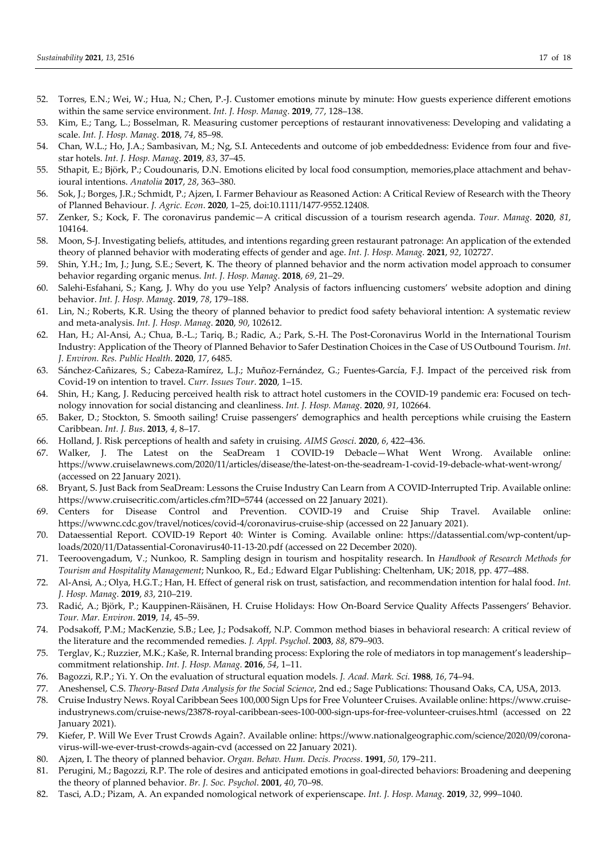- 52. Torres, E.N.; Wei, W.; Hua, N.; Chen, P.-J. Customer emotions minute by minute: How guests experience different emotions within the same service environment. *Int. J. Hosp. Manag*. **2019**, *77*, 128–138.
- 53. Kim, E.; Tang, L.; Bosselman, R. Measuring customer perceptions of restaurant innovativeness: Developing and validating a scale. *Int. J. Hosp. Manag*. **2018**, *74*, 85–98.
- 54. Chan, W.L.; Ho, J.A.; Sambasivan, M.; Ng, S.I. Antecedents and outcome of job embeddedness: Evidence from four and fivestar hotels. *Int. J. Hosp. Manag*. **2019**, *83*, 37–45.
- 55. Sthapit, E.; Björk, P.; Coudounaris, D.N. Emotions elicited by local food consumption, memories,place attachment and behavioural intentions. *Anatolia* **2017**, *28*, 363–380.
- 56. Sok, J.; Borges, J.R.; Schmidt, P.; Ajzen, I. Farmer Behaviour as Reasoned Action: A Critical Review of Research with the Theory of Planned Behaviour. *J. Agric. Econ*. **2020**, 1–25, doi:10.1111/1477-9552.12408.
- 57. Zenker, S.; Kock, F. The coronavirus pandemic—A critical discussion of a tourism research agenda. *Tour. Manag*. **2020**, *81*, 104164.
- 58. Moon, S-J. Investigating beliefs, attitudes, and intentions regarding green restaurant patronage: An application of the extended theory of planned behavior with moderating effects of gender and age. *Int. J. Hosp. Manag*. **2021**, *92*, 102727.
- 59. Shin, Y.H.; Im, J.; Jung, S.E.; Severt, K. The theory of planned behavior and the norm activation model approach to consumer behavior regarding organic menus. *Int. J. Hosp. Manag*. **2018**, *69*, 21–29.
- 60. Salehi-Esfahani, S.; Kang, J. Why do you use Yelp? Analysis of factors influencing customers' website adoption and dining behavior. *Int. J. Hosp. Manag*. **2019**, *78*, 179–188.
- 61. Lin, N.; Roberts, K.R. Using the theory of planned behavior to predict food safety behavioral intention: A systematic review and meta-analysis. *Int. J. Hosp. Manag*. **2020**, *90*, 102612.
- 62. Han, H.; Al-Ansi, A.; Chua, B.-L.; Tariq, B.; Radic, A.; Park, S.-H. The Post-Coronavirus World in the International Tourism Industry: Application of the Theory of Planned Behavior to Safer Destination Choices in the Case of US Outbound Tourism. *Int. J. Environ. Res. Public Health*. **2020**, *17*, 6485.
- 63. Sánchez-Cañizares, S.; Cabeza-Ramírez, L.J.; Muñoz-Fernández, G.; Fuentes-García, F.J. Impact of the perceived risk from Covid-19 on intention to travel. *Curr. Issues Tour*. **2020**, 1–15.
- 64. Shin, H.; Kang, J. Reducing perceived health risk to attract hotel customers in the COVID-19 pandemic era: Focused on technology innovation for social distancing and cleanliness. *Int. J. Hosp. Manag*. **2020**, *91*, 102664.
- 65. Baker, D.; Stockton, S. Smooth sailing! Cruise passengers' demographics and health perceptions while cruising the Eastern Caribbean. *Int. J. Bus*. **2013**, *4*, 8–17.
- 66. Holland, J. Risk perceptions of health and safety in cruising. *AIMS Geosci*. **2020**, *6*, 422–436.
- 67. Walker, J. The Latest on the SeaDream 1 COVID-19 Debacle—What Went Wrong. Available online: https://www.cruiselawnews.com/2020/11/articles/disease/the-latest-on-the-seadream-1-covid-19-debacle-what-went-wrong/ (accessed on 22 January 2021).
- 68. Bryant, S. Just Back from SeaDream: Lessons the Cruise Industry Can Learn from A COVID-Interrupted Trip. Available online: https://www.cruisecritic.com/articles.cfm?ID=5744 (accessed on 22 January 2021).
- 69. Centers for Disease Control and Prevention. COVID-19 and Cruise Ship Travel. Available online: https://wwwnc.cdc.gov/travel/notices/covid-4/coronavirus-cruise-ship (accessed on 22 January 2021).
- 70. Dataessential Report. COVID-19 Report 40: Winter is Coming. Available online: https://datassential.com/wp-content/uploads/2020/11/Datassential-Coronavirus40-11-13-20.pdf (accessed on 22 December 2020).
- 71. Teeroovengadum, V.; Nunkoo, R. Sampling design in tourism and hospitality research. In *Handbook of Research Methods for Tourism and Hospitality Management*; Nunkoo, R., Ed.; Edward Elgar Publishing: Cheltenham, UK; 2018, pp. 477–488.
- 72. Al-Ansi, A.; Olya, H.G.T.; Han, H. Effect of general risk on trust, satisfaction, and recommendation intention for halal food. *Int. J. Hosp. Manag*. **2019**, *83*, 210–219.
- 73. Radić, A.; Björk, P.; Kauppinen-Räisänen, H. Cruise Holidays: How On-Board Service Quality Affects Passengers' Behavior. *Tour. Mar. Environ*. **2019**, *14*, 45–59.
- 74. Podsakoff, P.M.; MacKenzie, S.B.; Lee, J.; Podsakoff, N.P. Common method biases in behavioral research: A critical review of the literature and the recommended remedies. *J. Appl. Psychol*. **2003**, *88*, 879–903.
- 75. Terglav, K.; Ruzzier, M.K.; Kaše, R. Internal branding process: Exploring the role of mediators in top management's leadership– commitment relationship. *Int. J. Hosp. Manag*. **2016**, *54*, 1–11.
- 76. Bagozzi, R.P.; Yi. Y. On the evaluation of structural equation models. *J. Acad. Mark. Sci*. **1988**, *16*, 74–94.
- 77. Aneshensel, C.S. *Theory-Based Data Analysis for the Social Science*, 2nd ed.; Sage Publications: Thousand Oaks, CA, USA, 2013.
- 78. Cruise Industry News. Royal Caribbean Sees 100,000 Sign Ups for Free Volunteer Cruises. Available online: https://www.cruiseindustrynews.com/cruise-news/23878-royal-caribbean-sees-100-000-sign-ups-for-free-volunteer-cruises.html (accessed on 22 January 2021).
- 79. Kiefer, P. Will We Ever Trust Crowds Again?. Available online: https://www.nationalgeographic.com/science/2020/09/coronavirus-will-we-ever-trust-crowds-again-cvd (accessed on 22 January 2021).
- 80. Ajzen, I. The theory of planned behavior. *Organ. Behav. Hum. Decis. Process*. **1991**, *50*, 179–211.
- 81. Perugini, M.; Bagozzi, R.P. The role of desires and anticipated emotions in goal-directed behaviors: Broadening and deepening the theory of planned behavior. *Br. J. Soc. Psychol*. **2001**, *40*, 70–98.
- 82. Tasci, A.D.; Pizam, A. An expanded nomological network of experienscape. *Int. J. Hosp. Manag*. **2019**, *32*, 999–1040.